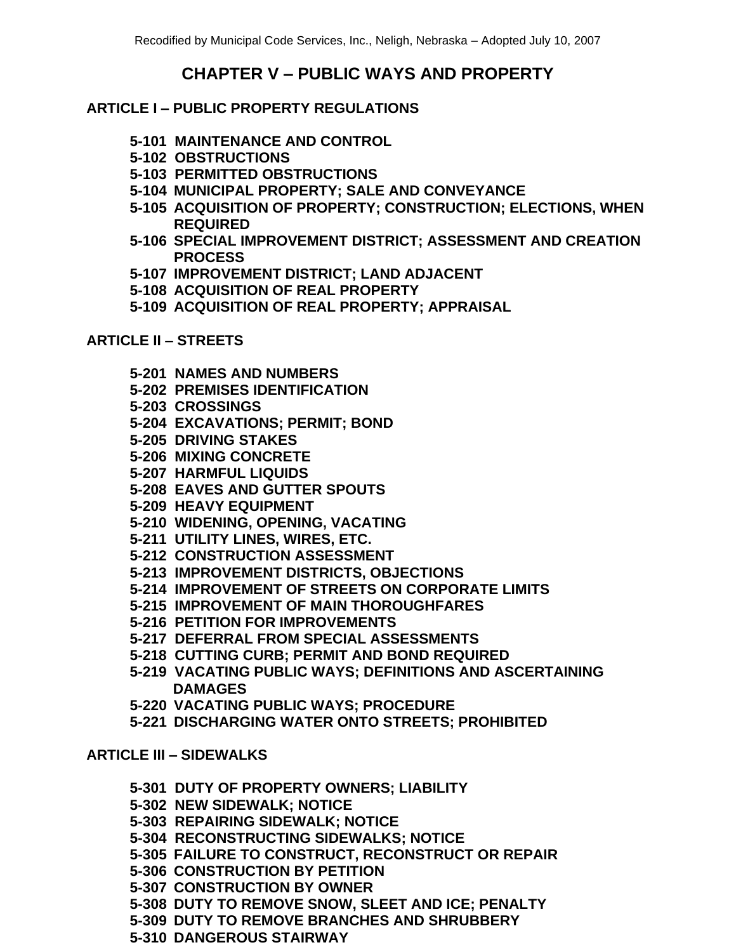# **CHAPTER V – PUBLIC WAYS AND PROPERTY**

## **ARTICLE I – PUBLIC PROPERTY REGULATIONS**

- **5-101 MAINTENANCE AND CONTROL**
- **5-102 OBSTRUCTIONS**
- **5-103 PERMITTED OBSTRUCTIONS**
- **5-104 MUNICIPAL PROPERTY; SALE AND CONVEYANCE**
- **5-105 ACQUISITION OF PROPERTY; CONSTRUCTION; ELECTIONS, WHEN REQUIRED**
- **5-106 SPECIAL IMPROVEMENT DISTRICT; ASSESSMENT AND CREATION PROCESS**
- **5-107 IMPROVEMENT DISTRICT; LAND ADJACENT**
- **5-108 ACQUISITION OF REAL PROPERTY**
- **5-109 ACQUISITION OF REAL PROPERTY; APPRAISAL**

### **ARTICLE II – STREETS**

- **5-201 NAMES AND NUMBERS**
- **5-202 PREMISES IDENTIFICATION**
- **5-203 CROSSINGS**
- **5-204 EXCAVATIONS; PERMIT; BOND**
- **5-205 DRIVING STAKES**
- **5-206 MIXING CONCRETE**
- **5-207 HARMFUL LIQUIDS**
- **5-208 EAVES AND GUTTER SPOUTS**
- **5-209 HEAVY EQUIPMENT**
- **5-210 WIDENING, OPENING, VACATING**
- **5-211 UTILITY LINES, WIRES, ETC.**
- **5-212 CONSTRUCTION ASSESSMENT**
- **5-213 IMPROVEMENT DISTRICTS, OBJECTIONS**
- **5-214 IMPROVEMENT OF STREETS ON CORPORATE LIMITS**
- **5-215 IMPROVEMENT OF MAIN THOROUGHFARES**
- **5-216 PETITION FOR IMPROVEMENTS**
- **5-217 DEFERRAL FROM SPECIAL ASSESSMENTS**
- **5-218 CUTTING CURB; PERMIT AND BOND REQUIRED**
- **5-219 VACATING PUBLIC WAYS; DEFINITIONS AND ASCERTAINING DAMAGES**
- **5-220 VACATING PUBLIC WAYS; PROCEDURE**
- **5-221 DISCHARGING WATER ONTO STREETS; PROHIBITED**

#### **ARTICLE III – SIDEWALKS**

- **5-301 DUTY OF PROPERTY OWNERS; LIABILITY**
- **5-302 NEW SIDEWALK; NOTICE**
- **5-303 REPAIRING SIDEWALK; NOTICE**
- **5-304 RECONSTRUCTING SIDEWALKS; NOTICE**
- **5-305 FAILURE TO CONSTRUCT, RECONSTRUCT OR REPAIR**
- **5-306 CONSTRUCTION BY PETITION**
- **5-307 CONSTRUCTION BY OWNER**
- **5-308 DUTY TO REMOVE SNOW, SLEET AND ICE; PENALTY**
- **5-309 DUTY TO REMOVE BRANCHES AND SHRUBBERY**
- **5-310 DANGEROUS STAIRWAY**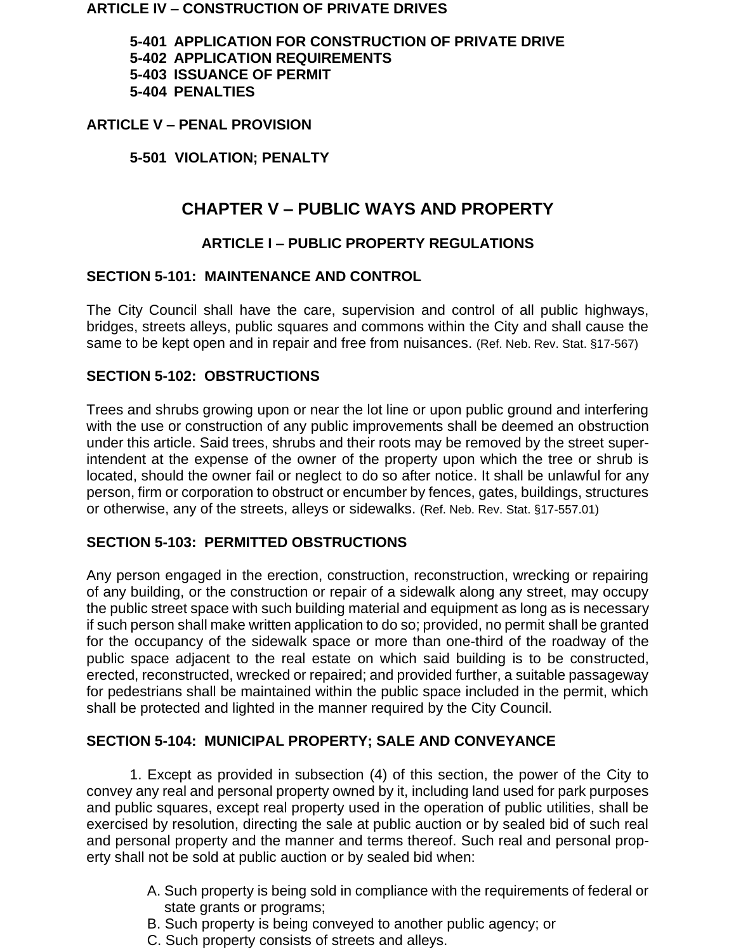#### **ARTICLE IV – CONSTRUCTION OF PRIVATE DRIVES**

**5-401 APPLICATION FOR CONSTRUCTION OF PRIVATE DRIVE 5-402 APPLICATION REQUIREMENTS 5-403 ISSUANCE OF PERMIT 5-404 PENALTIES**

#### **ARTICLE V – PENAL PROVISION**

### **5-501 VIOLATION; PENALTY**

# **CHAPTER V – PUBLIC WAYS AND PROPERTY**

## **ARTICLE I – PUBLIC PROPERTY REGULATIONS**

#### **SECTION 5-101: MAINTENANCE AND CONTROL**

The City Council shall have the care, supervision and control of all public highways, bridges, streets alleys, public squares and commons within the City and shall cause the same to be kept open and in repair and free from nuisances. (Ref. Neb. Rev. Stat. §17-567)

#### **SECTION 5-102: OBSTRUCTIONS**

Trees and shrubs growing upon or near the lot line or upon public ground and interfering with the use or construction of any public improvements shall be deemed an obstruction under this article. Said trees, shrubs and their roots may be removed by the street superintendent at the expense of the owner of the property upon which the tree or shrub is located, should the owner fail or neglect to do so after notice. It shall be unlawful for any person, firm or corporation to obstruct or encumber by fences, gates, buildings, structures or otherwise, any of the streets, alleys or sidewalks. (Ref. Neb. Rev. Stat. §17-557.01)

## **SECTION 5-103: PERMITTED OBSTRUCTIONS**

Any person engaged in the erection, construction, reconstruction, wrecking or repairing of any building, or the construction or repair of a sidewalk along any street, may occupy the public street space with such building material and equipment as long as is necessary if such person shall make written application to do so; provided, no permit shall be granted for the occupancy of the sidewalk space or more than one-third of the roadway of the public space adjacent to the real estate on which said building is to be constructed, erected, reconstructed, wrecked or repaired; and provided further, a suitable passageway for pedestrians shall be maintained within the public space included in the permit, which shall be protected and lighted in the manner required by the City Council.

#### **SECTION 5-104: MUNICIPAL PROPERTY; SALE AND CONVEYANCE**

1. Except as provided in subsection (4) of this section, the power of the City to convey any real and personal property owned by it, including land used for park purposes and public squares, except real property used in the operation of public utilities, shall be exercised by resolution, directing the sale at public auction or by sealed bid of such real and personal property and the manner and terms thereof. Such real and personal property shall not be sold at public auction or by sealed bid when:

- A. Such property is being sold in compliance with the requirements of federal or state grants or programs:
- B. Such property is being conveyed to another public agency; or
- C. Such property consists of streets and alleys.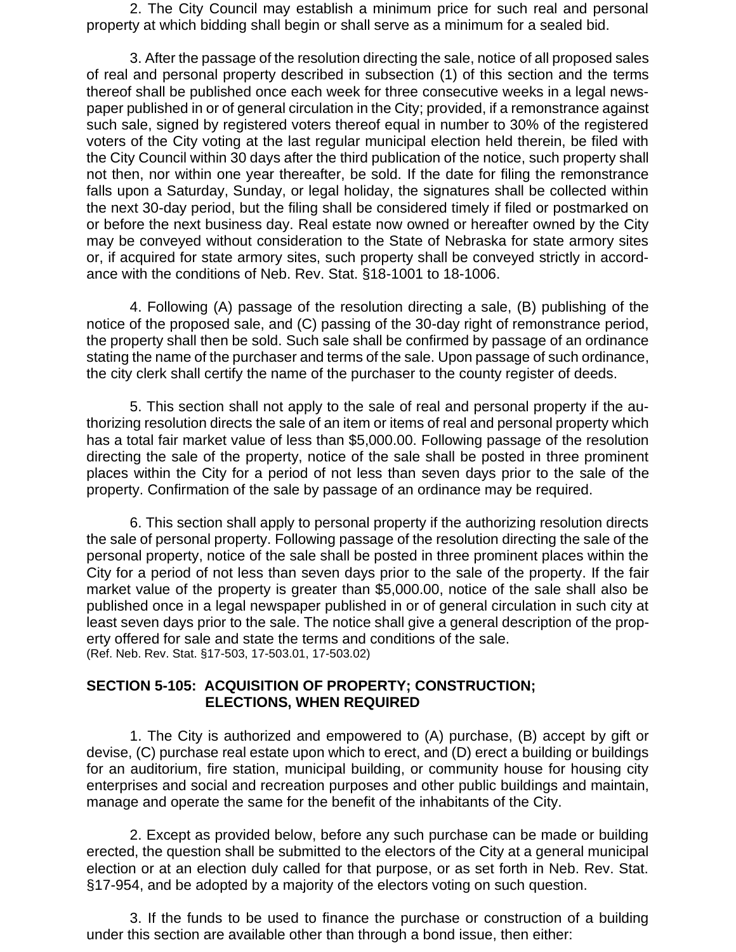2. The City Council may establish a minimum price for such real and personal property at which bidding shall begin or shall serve as a minimum for a sealed bid.

3. After the passage of the resolution directing the sale, notice of all proposed sales of real and personal property described in subsection (1) of this section and the terms thereof shall be published once each week for three consecutive weeks in a legal newspaper published in or of general circulation in the City; provided, if a remonstrance against such sale, signed by registered voters thereof equal in number to 30% of the registered voters of the City voting at the last regular municipal election held therein, be filed with the City Council within 30 days after the third publication of the notice, such property shall not then, nor within one year thereafter, be sold. If the date for filing the remonstrance falls upon a Saturday, Sunday, or legal holiday, the signatures shall be collected within the next 30-day period, but the filing shall be considered timely if filed or postmarked on or before the next business day. Real estate now owned or hereafter owned by the City may be conveyed without consideration to the State of Nebraska for state armory sites or, if acquired for state armory sites, such property shall be conveyed strictly in accordance with the conditions of Neb. Rev. Stat. §18-1001 to 18-1006.

4. Following (A) passage of the resolution directing a sale, (B) publishing of the notice of the proposed sale, and (C) passing of the 30-day right of remonstrance period, the property shall then be sold. Such sale shall be confirmed by passage of an ordinance stating the name of the purchaser and terms of the sale. Upon passage of such ordinance, the city clerk shall certify the name of the purchaser to the county register of deeds.

5. This section shall not apply to the sale of real and personal property if the authorizing resolution directs the sale of an item or items of real and personal property which has a total fair market value of less than \$5,000.00. Following passage of the resolution directing the sale of the property, notice of the sale shall be posted in three prominent places within the City for a period of not less than seven days prior to the sale of the property. Confirmation of the sale by passage of an ordinance may be required.

6. This section shall apply to personal property if the authorizing resolution directs the sale of personal property. Following passage of the resolution directing the sale of the personal property, notice of the sale shall be posted in three prominent places within the City for a period of not less than seven days prior to the sale of the property. If the fair market value of the property is greater than \$5,000.00, notice of the sale shall also be published once in a legal newspaper published in or of general circulation in such city at least seven days prior to the sale. The notice shall give a general description of the property offered for sale and state the terms and conditions of the sale. (Ref. Neb. Rev. Stat. §17-503, 17-503.01, 17-503.02)

#### **SECTION 5-105: ACQUISITION OF PROPERTY; CONSTRUCTION; ELECTIONS, WHEN REQUIRED**

1. The City is authorized and empowered to (A) purchase, (B) accept by gift or devise, (C) purchase real estate upon which to erect, and (D) erect a building or buildings for an auditorium, fire station, municipal building, or community house for housing city enterprises and social and recreation purposes and other public buildings and maintain, manage and operate the same for the benefit of the inhabitants of the City.

2. Except as provided below, before any such purchase can be made or building erected, the question shall be submitted to the electors of the City at a general municipal election or at an election duly called for that purpose, or as set forth in Neb. Rev. Stat. §17-954, and be adopted by a majority of the electors voting on such question.

3. If the funds to be used to finance the purchase or construction of a building under this section are available other than through a bond issue, then either: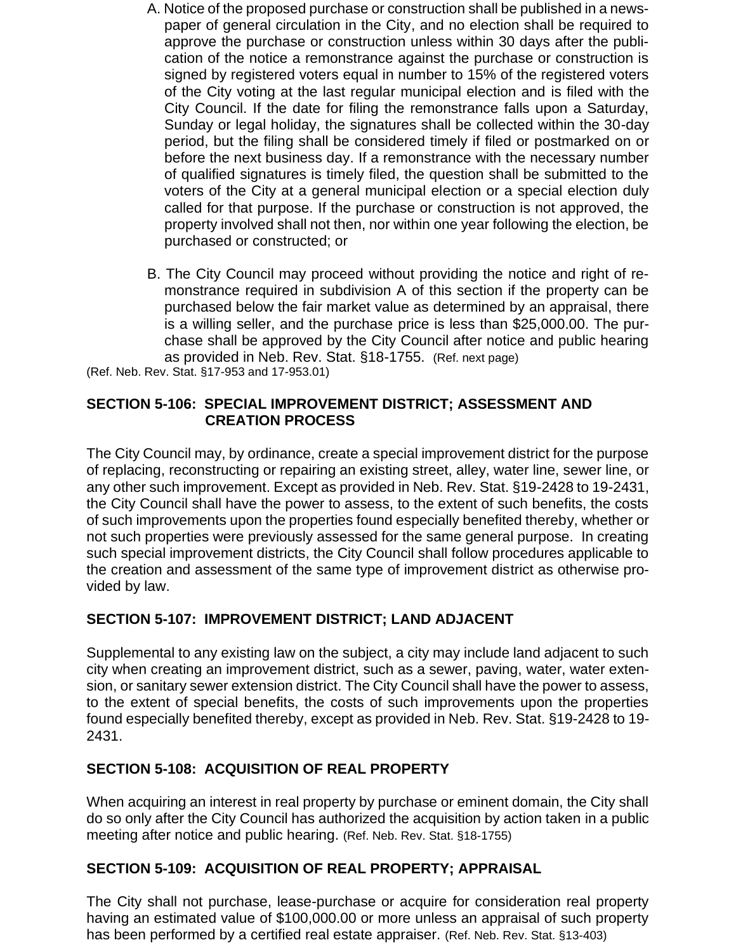- A. Notice of the proposed purchase or construction shall be published in a newspaper of general circulation in the City, and no election shall be required to approve the purchase or construction unless within 30 days after the publication of the notice a remonstrance against the purchase or construction is signed by registered voters equal in number to 15% of the registered voters of the City voting at the last regular municipal election and is filed with the City Council. If the date for filing the remonstrance falls upon a Saturday, Sunday or legal holiday, the signatures shall be collected within the 30-day period, but the filing shall be considered timely if filed or postmarked on or before the next business day. If a remonstrance with the necessary number of qualified signatures is timely filed, the question shall be submitted to the voters of the City at a general municipal election or a special election duly called for that purpose. If the purchase or construction is not approved, the property involved shall not then, nor within one year following the election, be purchased or constructed; or
- B. The City Council may proceed without providing the notice and right of remonstrance required in subdivision A of this section if the property can be purchased below the fair market value as determined by an appraisal, there is a willing seller, and the purchase price is less than \$25,000.00. The purchase shall be approved by the City Council after notice and public hearing as provided in Neb. Rev. Stat. §18-1755. (Ref. next page)

(Ref. Neb. Rev. Stat. §17-953 and 17-953.01)

#### **SECTION 5-106: SPECIAL IMPROVEMENT DISTRICT; ASSESSMENT AND CREATION PROCESS**

The City Council may, by ordinance, create a special improvement district for the purpose of replacing, reconstructing or repairing an existing street, alley, water line, sewer line, or any other such improvement. Except as provided in Neb. Rev. Stat. §19-2428 to 19-2431, the City Council shall have the power to assess, to the extent of such benefits, the costs of such improvements upon the properties found especially benefited thereby, whether or not such properties were previously assessed for the same general purpose. In creating such special improvement districts, the City Council shall follow procedures applicable to the creation and assessment of the same type of improvement district as otherwise provided by law.

## **SECTION 5-107: IMPROVEMENT DISTRICT; LAND ADJACENT**

Supplemental to any existing law on the subject, a city may include land adjacent to such city when creating an improvement district, such as a sewer, paving, water, water extension, or sanitary sewer extension district. The City Council shall have the power to assess, to the extent of special benefits, the costs of such improvements upon the properties found especially benefited thereby, except as provided in Neb. Rev. Stat. §19-2428 to 19- 2431.

## **SECTION 5-108: ACQUISITION OF REAL PROPERTY**

When acquiring an interest in real property by purchase or eminent domain, the City shall do so only after the City Council has authorized the acquisition by action taken in a public meeting after notice and public hearing. (Ref. Neb. Rev. Stat. §18-1755)

## **SECTION 5-109: ACQUISITION OF REAL PROPERTY; APPRAISAL**

The City shall not purchase, lease-purchase or acquire for consideration real property having an estimated value of \$100,000.00 or more unless an appraisal of such property has been performed by a certified real estate appraiser. (Ref. Neb. Rev. Stat. §13-403)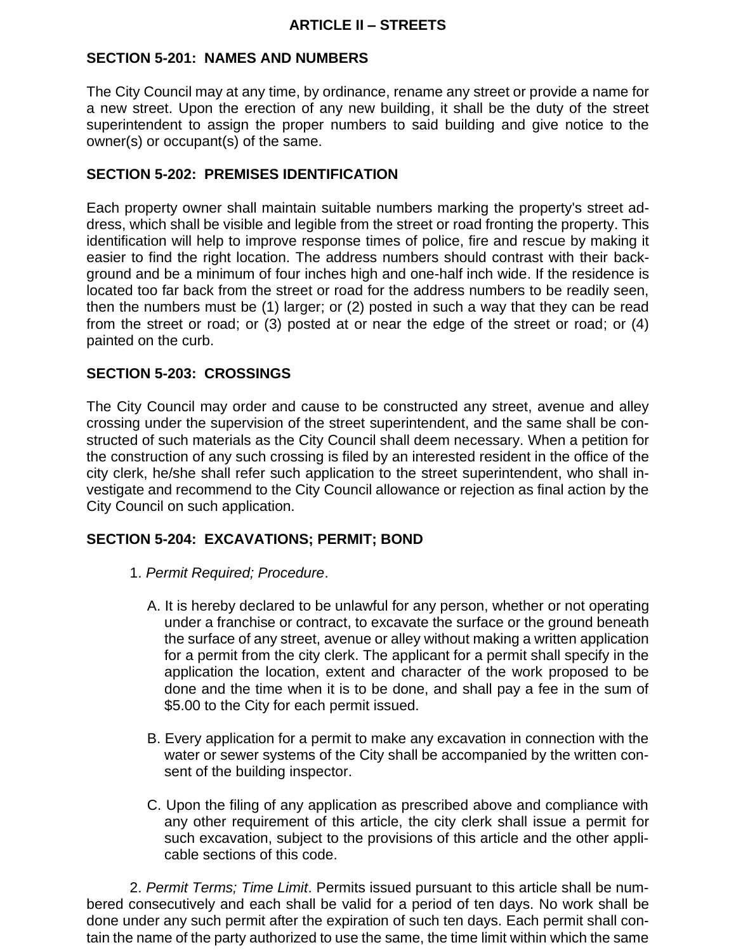## **SECTION 5-201: NAMES AND NUMBERS**

The City Council may at any time, by ordinance, rename any street or provide a name for a new street. Upon the erection of any new building, it shall be the duty of the street superintendent to assign the proper numbers to said building and give notice to the owner(s) or occupant(s) of the same.

### **SECTION 5-202: PREMISES IDENTIFICATION**

Each property owner shall maintain suitable numbers marking the property's street address, which shall be visible and legible from the street or road fronting the property. This identification will help to improve response times of police, fire and rescue by making it easier to find the right location. The address numbers should contrast with their background and be a minimum of four inches high and one-half inch wide. If the residence is located too far back from the street or road for the address numbers to be readily seen, then the numbers must be (1) larger; or (2) posted in such a way that they can be read from the street or road; or (3) posted at or near the edge of the street or road; or (4) painted on the curb.

## **SECTION 5-203: CROSSINGS**

The City Council may order and cause to be constructed any street, avenue and alley crossing under the supervision of the street superintendent, and the same shall be constructed of such materials as the City Council shall deem necessary. When a petition for the construction of any such crossing is filed by an interested resident in the office of the city clerk, he/she shall refer such application to the street superintendent, who shall investigate and recommend to the City Council allowance or rejection as final action by the City Council on such application.

#### **SECTION 5-204: EXCAVATIONS; PERMIT; BOND**

- 1. *Permit Required; Procedure*.
	- A. It is hereby declared to be unlawful for any person, whether or not operating under a franchise or contract, to excavate the surface or the ground beneath the surface of any street, avenue or alley without making a written application for a permit from the city clerk. The applicant for a permit shall specify in the application the location, extent and character of the work proposed to be done and the time when it is to be done, and shall pay a fee in the sum of \$5.00 to the City for each permit issued.
	- B. Every application for a permit to make any excavation in connection with the water or sewer systems of the City shall be accompanied by the written consent of the building inspector.
	- C. Upon the filing of any application as prescribed above and compliance with any other requirement of this article, the city clerk shall issue a permit for such excavation, subject to the provisions of this article and the other applicable sections of this code.

2. *Permit Terms; Time Limit*. Permits issued pursuant to this article shall be numbered consecutively and each shall be valid for a period of ten days. No work shall be done under any such permit after the expiration of such ten days. Each permit shall contain the name of the party authorized to use the same, the time limit within which the same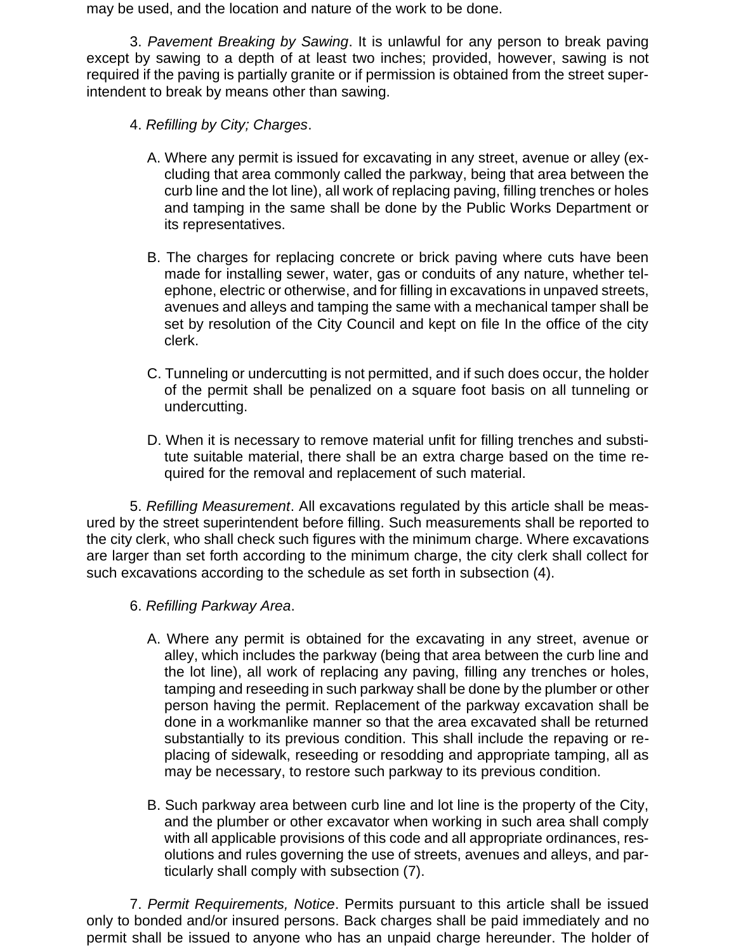may be used, and the location and nature of the work to be done.

3. *Pavement Breaking by Sawing*. It is unlawful for any person to break paving except by sawing to a depth of at least two inches; provided, however, sawing is not required if the paving is partially granite or if permission is obtained from the street superintendent to break by means other than sawing.

- 4. *Refilling by City; Charges*.
	- A. Where any permit is issued for excavating in any street, avenue or alley (excluding that area commonly called the parkway, being that area between the curb line and the lot line), all work of replacing paving, filling trenches or holes and tamping in the same shall be done by the Public Works Department or its representatives.
	- B. The charges for replacing concrete or brick paving where cuts have been made for installing sewer, water, gas or conduits of any nature, whether telephone, electric or otherwise, and for filling in excavations in unpaved streets, avenues and alleys and tamping the same with a mechanical tamper shall be set by resolution of the City Council and kept on file In the office of the city clerk.
	- C. Tunneling or undercutting is not permitted, and if such does occur, the holder of the permit shall be penalized on a square foot basis on all tunneling or undercutting.
	- D. When it is necessary to remove material unfit for filling trenches and substitute suitable material, there shall be an extra charge based on the time required for the removal and replacement of such material.

5. *Refilling Measurement*. All excavations regulated by this article shall be measured by the street superintendent before filling. Such measurements shall be reported to the city clerk, who shall check such figures with the minimum charge. Where excavations are larger than set forth according to the minimum charge, the city clerk shall collect for such excavations according to the schedule as set forth in subsection (4).

- 6. *Refilling Parkway Area*.
	- A. Where any permit is obtained for the excavating in any street, avenue or alley, which includes the parkway (being that area between the curb line and the lot line), all work of replacing any paving, filling any trenches or holes, tamping and reseeding in such parkway shall be done by the plumber or other person having the permit. Replacement of the parkway excavation shall be done in a workmanlike manner so that the area excavated shall be returned substantially to its previous condition. This shall include the repaving or replacing of sidewalk, reseeding or resodding and appropriate tamping, all as may be necessary, to restore such parkway to its previous condition.
	- B. Such parkway area between curb line and lot line is the property of the City, and the plumber or other excavator when working in such area shall comply with all applicable provisions of this code and all appropriate ordinances, resolutions and rules governing the use of streets, avenues and alleys, and particularly shall comply with subsection (7).

7. *Permit Requirements, Notice*. Permits pursuant to this article shall be issued only to bonded and/or insured persons. Back charges shall be paid immediately and no permit shall be issued to anyone who has an unpaid charge hereunder. The holder of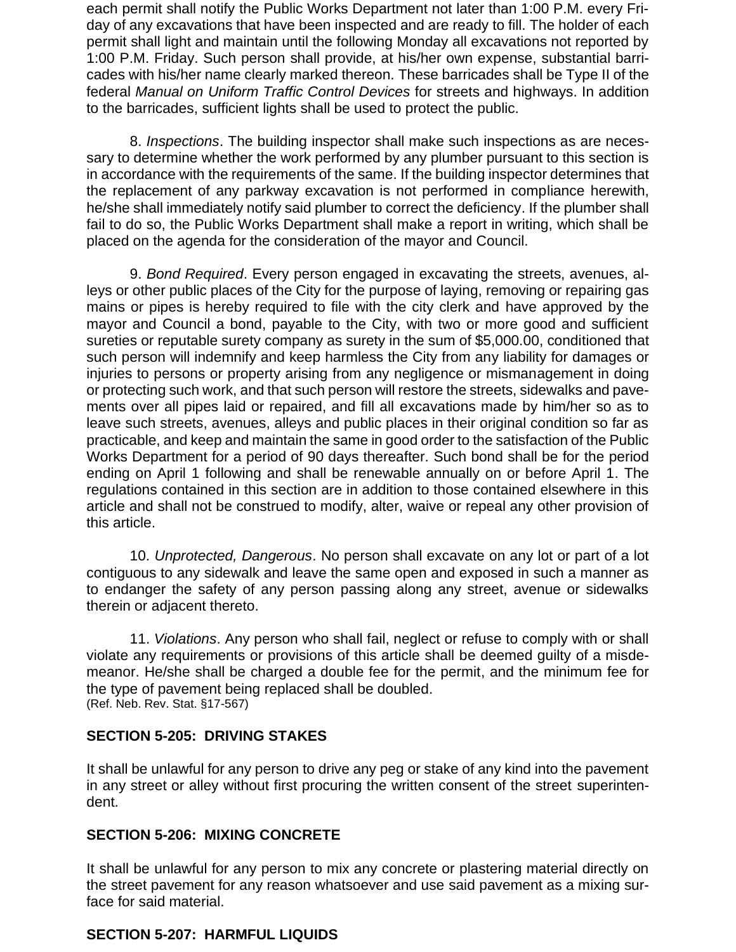each permit shall notify the Public Works Department not later than 1:00 P.M. every Friday of any excavations that have been inspected and are ready to fill. The holder of each permit shall light and maintain until the following Monday all excavations not reported by 1:00 P.M. Friday. Such person shall provide, at his/her own expense, substantial barricades with his/her name clearly marked thereon. These barricades shall be Type II of the federal *Manual on Uniform Traffic Control Devices* for streets and highways. In addition to the barricades, sufficient lights shall be used to protect the public.

8. *Inspections*. The building inspector shall make such inspections as are necessary to determine whether the work performed by any plumber pursuant to this section is in accordance with the requirements of the same. If the building inspector determines that the replacement of any parkway excavation is not performed in compliance herewith, he/she shall immediately notify said plumber to correct the deficiency. If the plumber shall fail to do so, the Public Works Department shall make a report in writing, which shall be placed on the agenda for the consideration of the mayor and Council.

9. *Bond Required*. Every person engaged in excavating the streets, avenues, alleys or other public places of the City for the purpose of laying, removing or repairing gas mains or pipes is hereby required to file with the city clerk and have approved by the mayor and Council a bond, payable to the City, with two or more good and sufficient sureties or reputable surety company as surety in the sum of \$5,000.00, conditioned that such person will indemnify and keep harmless the City from any liability for damages or injuries to persons or property arising from any negligence or mismanagement in doing or protecting such work, and that such person will restore the streets, sidewalks and pavements over all pipes laid or repaired, and fill all excavations made by him/her so as to leave such streets, avenues, alleys and public places in their original condition so far as practicable, and keep and maintain the same in good order to the satisfaction of the Public Works Department for a period of 90 days thereafter. Such bond shall be for the period ending on April 1 following and shall be renewable annually on or before April 1. The regulations contained in this section are in addition to those contained elsewhere in this article and shall not be construed to modify, alter, waive or repeal any other provision of this article.

10. *Unprotected, Dangerous*. No person shall excavate on any lot or part of a lot contiguous to any sidewalk and leave the same open and exposed in such a manner as to endanger the safety of any person passing along any street, avenue or sidewalks therein or adjacent thereto.

11. *Violations*. Any person who shall fail, neglect or refuse to comply with or shall violate any requirements or provisions of this article shall be deemed guilty of a misdemeanor. He/she shall be charged a double fee for the permit, and the minimum fee for the type of pavement being replaced shall be doubled. (Ref. Neb. Rev. Stat. §17-567)

#### **SECTION 5-205: DRIVING STAKES**

It shall be unlawful for any person to drive any peg or stake of any kind into the pavement in any street or alley without first procuring the written consent of the street superintendent.

### **SECTION 5-206: MIXING CONCRETE**

It shall be unlawful for any person to mix any concrete or plastering material directly on the street pavement for any reason whatsoever and use said pavement as a mixing surface for said material.

## **SECTION 5-207: HARMFUL LIQUIDS**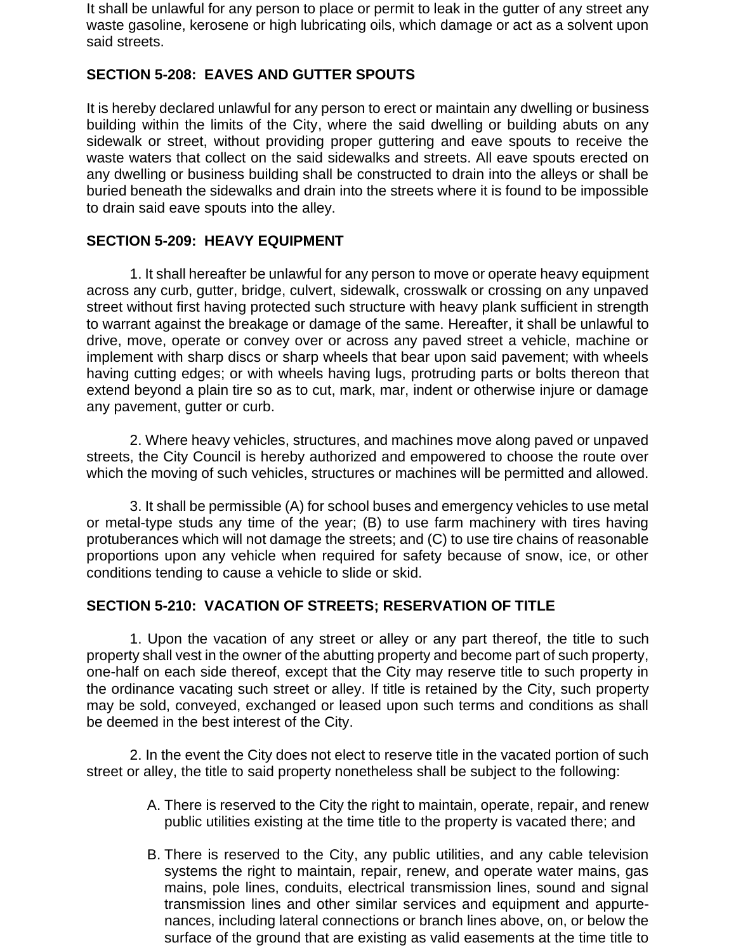It shall be unlawful for any person to place or permit to leak in the gutter of any street any waste gasoline, kerosene or high lubricating oils, which damage or act as a solvent upon said streets.

### **SECTION 5-208: EAVES AND GUTTER SPOUTS**

It is hereby declared unlawful for any person to erect or maintain any dwelling or business building within the limits of the City, where the said dwelling or building abuts on any sidewalk or street, without providing proper guttering and eave spouts to receive the waste waters that collect on the said sidewalks and streets. All eave spouts erected on any dwelling or business building shall be constructed to drain into the alleys or shall be buried beneath the sidewalks and drain into the streets where it is found to be impossible to drain said eave spouts into the alley.

#### **SECTION 5-209: HEAVY EQUIPMENT**

1. It shall hereafter be unlawful for any person to move or operate heavy equipment across any curb, gutter, bridge, culvert, sidewalk, crosswalk or crossing on any unpaved street without first having protected such structure with heavy plank sufficient in strength to warrant against the breakage or damage of the same. Hereafter, it shall be unlawful to drive, move, operate or convey over or across any paved street a vehicle, machine or implement with sharp discs or sharp wheels that bear upon said pavement; with wheels having cutting edges; or with wheels having lugs, protruding parts or bolts thereon that extend beyond a plain tire so as to cut, mark, mar, indent or otherwise injure or damage any pavement, gutter or curb.

2. Where heavy vehicles, structures, and machines move along paved or unpaved streets, the City Council is hereby authorized and empowered to choose the route over which the moving of such vehicles, structures or machines will be permitted and allowed.

3. It shall be permissible (A) for school buses and emergency vehicles to use metal or metal-type studs any time of the year; (B) to use farm machinery with tires having protuberances which will not damage the streets; and (C) to use tire chains of reasonable proportions upon any vehicle when required for safety because of snow, ice, or other conditions tending to cause a vehicle to slide or skid.

#### **SECTION 5-210: VACATION OF STREETS; RESERVATION OF TITLE**

1. Upon the vacation of any street or alley or any part thereof, the title to such property shall vest in the owner of the abutting property and become part of such property, one-half on each side thereof, except that the City may reserve title to such property in the ordinance vacating such street or alley. If title is retained by the City, such property may be sold, conveyed, exchanged or leased upon such terms and conditions as shall be deemed in the best interest of the City.

2. In the event the City does not elect to reserve title in the vacated portion of such street or alley, the title to said property nonetheless shall be subject to the following:

- A. There is reserved to the City the right to maintain, operate, repair, and renew public utilities existing at the time title to the property is vacated there; and
- B. There is reserved to the City, any public utilities, and any cable television systems the right to maintain, repair, renew, and operate water mains, gas mains, pole lines, conduits, electrical transmission lines, sound and signal transmission lines and other similar services and equipment and appurtenances, including lateral connections or branch lines above, on, or below the surface of the ground that are existing as valid easements at the time title to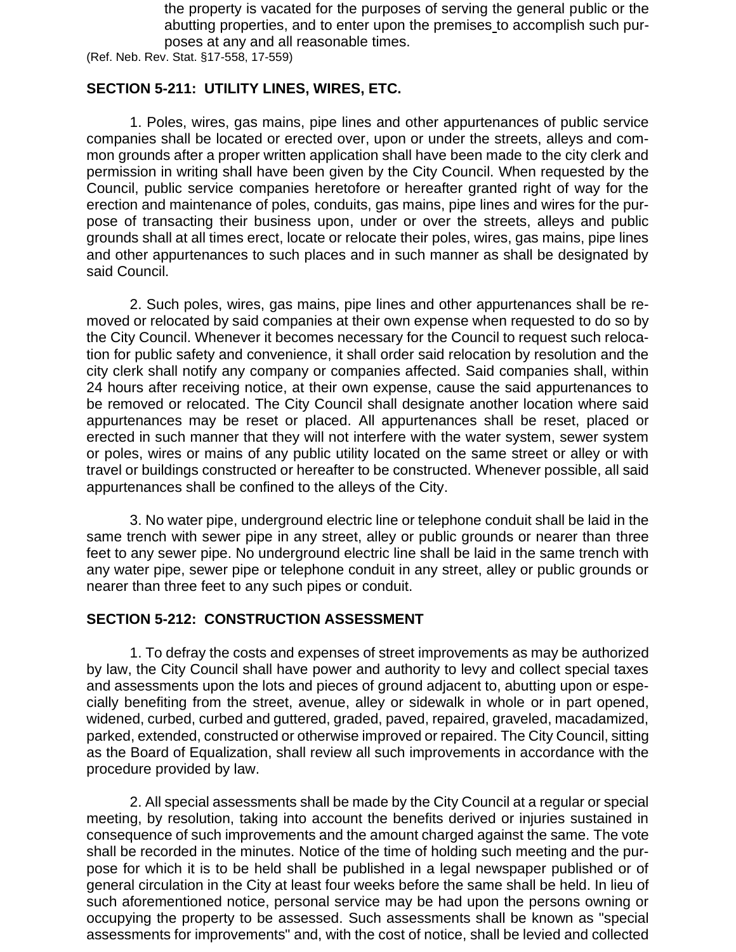the property is vacated for the purposes of serving the general public or the abutting properties, and to enter upon the premises to accomplish such purposes at any and all reasonable times.

(Ref. Neb. Rev. Stat. §17-558, 17-559)

#### **SECTION 5-211: UTILITY LINES, WIRES, ETC.**

1. Poles, wires, gas mains, pipe lines and other appurtenances of public service companies shall be located or erected over, upon or under the streets, alleys and common grounds after a proper written application shall have been made to the city clerk and permission in writing shall have been given by the City Council. When requested by the Council, public service companies heretofore or hereafter granted right of way for the erection and maintenance of poles, conduits, gas mains, pipe lines and wires for the purpose of transacting their business upon, under or over the streets, alleys and public grounds shall at all times erect, locate or relocate their poles, wires, gas mains, pipe lines and other appurtenances to such places and in such manner as shall be designated by said Council.

2. Such poles, wires, gas mains, pipe lines and other appurtenances shall be removed or relocated by said companies at their own expense when requested to do so by the City Council. Whenever it becomes necessary for the Council to request such relocation for public safety and convenience, it shall order said relocation by resolution and the city clerk shall notify any company or companies affected. Said companies shall, within 24 hours after receiving notice, at their own expense, cause the said appurtenances to be removed or relocated. The City Council shall designate another location where said appurtenances may be reset or placed. All appurtenances shall be reset, placed or erected in such manner that they will not interfere with the water system, sewer system or poles, wires or mains of any public utility located on the same street or alley or with travel or buildings constructed or hereafter to be constructed. Whenever possible, all said appurtenances shall be confined to the alleys of the City.

3. No water pipe, underground electric line or telephone conduit shall be laid in the same trench with sewer pipe in any street, alley or public grounds or nearer than three feet to any sewer pipe. No underground electric line shall be laid in the same trench with any water pipe, sewer pipe or telephone conduit in any street, alley or public grounds or nearer than three feet to any such pipes or conduit.

#### **SECTION 5-212: CONSTRUCTION ASSESSMENT**

1. To defray the costs and expenses of street improvements as may be authorized by law, the City Council shall have power and authority to levy and collect special taxes and assessments upon the lots and pieces of ground adjacent to, abutting upon or especially benefiting from the street, avenue, alley or sidewalk in whole or in part opened, widened, curbed, curbed and guttered, graded, paved, repaired, graveled, macadamized, parked, extended, constructed or otherwise improved or repaired. The City Council, sitting as the Board of Equalization, shall review all such improvements in accordance with the procedure provided by law.

2. All special assessments shall be made by the City Council at a regular or special meeting, by resolution, taking into account the benefits derived or injuries sustained in consequence of such improvements and the amount charged against the same. The vote shall be recorded in the minutes. Notice of the time of holding such meeting and the purpose for which it is to be held shall be published in a legal newspaper published or of general circulation in the City at least four weeks before the same shall be held. In lieu of such aforementioned notice, personal service may be had upon the persons owning or occupying the property to be assessed. Such assessments shall be known as "special assessments for improvements" and, with the cost of notice, shall be levied and collected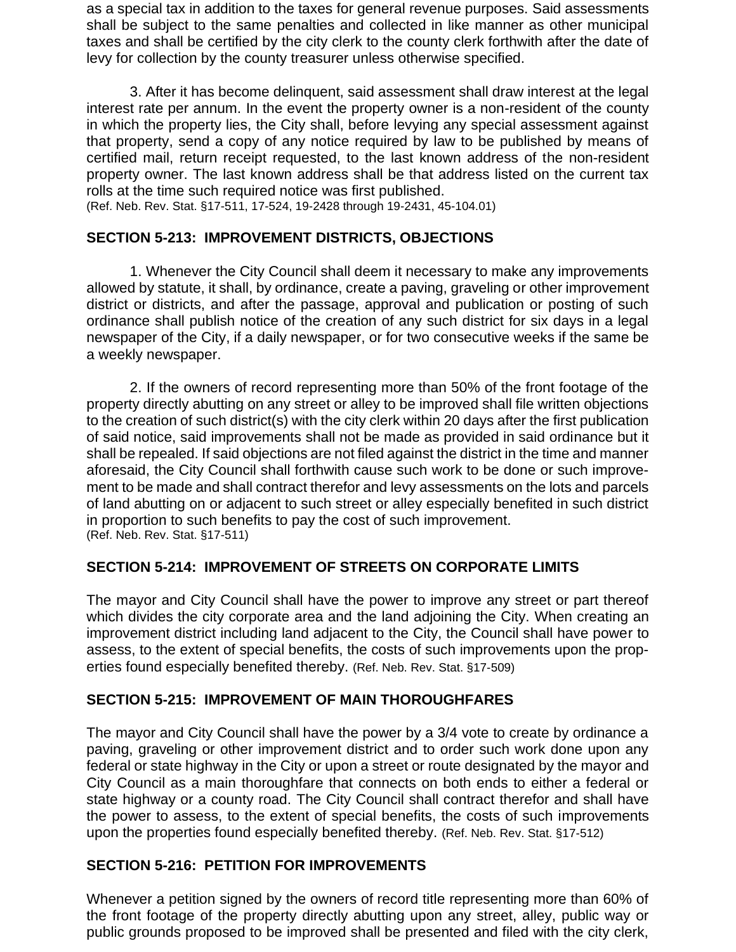as a special tax in addition to the taxes for general revenue purposes. Said assessments shall be subject to the same penalties and collected in like manner as other municipal taxes and shall be certified by the city clerk to the county clerk forthwith after the date of levy for collection by the county treasurer unless otherwise specified.

3. After it has become delinquent, said assessment shall draw interest at the legal interest rate per annum. In the event the property owner is a non-resident of the county in which the property lies, the City shall, before levying any special assessment against that property, send a copy of any notice required by law to be published by means of certified mail, return receipt requested, to the last known address of the non-resident property owner. The last known address shall be that address listed on the current tax rolls at the time such required notice was first published.

(Ref. Neb. Rev. Stat. §17-511, 17-524, 19-2428 through 19-2431, 45-104.01)

### **SECTION 5-213: IMPROVEMENT DISTRICTS, OBJECTIONS**

1. Whenever the City Council shall deem it necessary to make any improvements allowed by statute, it shall, by ordinance, create a paving, graveling or other improvement district or districts, and after the passage, approval and publication or posting of such ordinance shall publish notice of the creation of any such district for six days in a legal newspaper of the City, if a daily newspaper, or for two consecutive weeks if the same be a weekly newspaper.

2. If the owners of record representing more than 50% of the front footage of the property directly abutting on any street or alley to be improved shall file written objections to the creation of such district(s) with the city clerk within 20 days after the first publication of said notice, said improvements shall not be made as provided in said ordinance but it shall be repealed. If said objections are not filed against the district in the time and manner aforesaid, the City Council shall forthwith cause such work to be done or such improvement to be made and shall contract therefor and levy assessments on the lots and parcels of land abutting on or adjacent to such street or alley especially benefited in such district in proportion to such benefits to pay the cost of such improvement. (Ref. Neb. Rev. Stat. §17-511)

## **SECTION 5-214: IMPROVEMENT OF STREETS ON CORPORATE LIMITS**

The mayor and City Council shall have the power to improve any street or part thereof which divides the city corporate area and the land adjoining the City. When creating an improvement district including land adjacent to the City, the Council shall have power to assess, to the extent of special benefits, the costs of such improvements upon the properties found especially benefited thereby. (Ref. Neb. Rev. Stat. §17-509)

## **SECTION 5-215: IMPROVEMENT OF MAIN THOROUGHFARES**

The mayor and City Council shall have the power by a 3/4 vote to create by ordinance a paving, graveling or other improvement district and to order such work done upon any federal or state highway in the City or upon a street or route designated by the mayor and City Council as a main thoroughfare that connects on both ends to either a federal or state highway or a county road. The City Council shall contract therefor and shall have the power to assess, to the extent of special benefits, the costs of such improvements upon the properties found especially benefited thereby. (Ref. Neb. Rev. Stat. §17-512)

## **SECTION 5-216: PETITION FOR IMPROVEMENTS**

Whenever a petition signed by the owners of record title representing more than 60% of the front footage of the property directly abutting upon any street, alley, public way or public grounds proposed to be improved shall be presented and filed with the city clerk,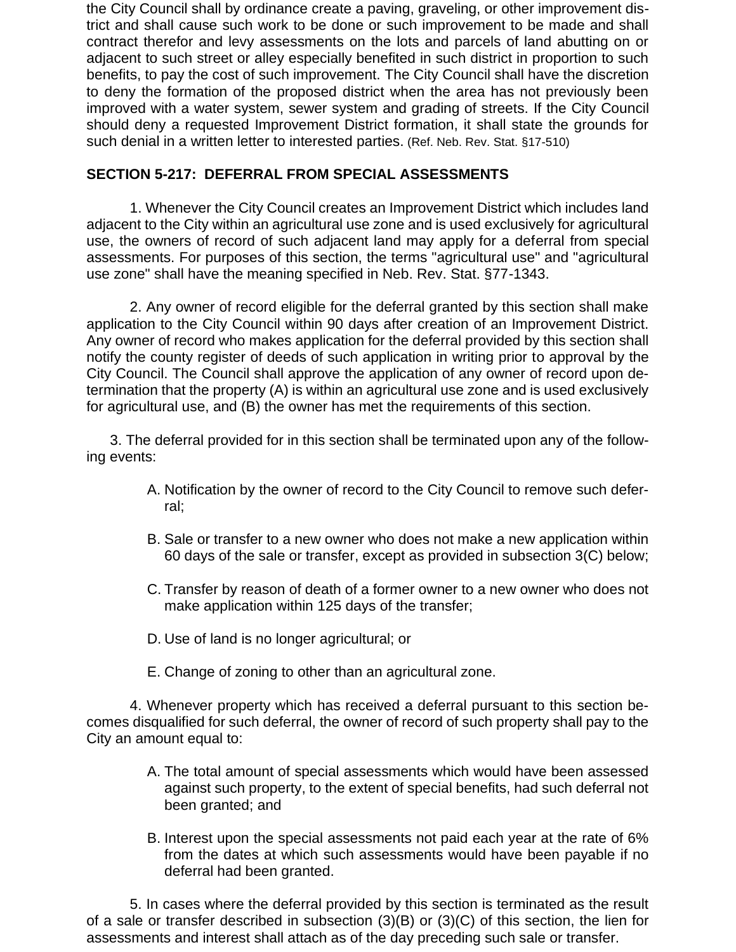the City Council shall by ordinance create a paving, graveling, or other improvement district and shall cause such work to be done or such improvement to be made and shall contract therefor and levy assessments on the lots and parcels of land abutting on or adjacent to such street or alley especially benefited in such district in proportion to such benefits, to pay the cost of such improvement. The City Council shall have the discretion to deny the formation of the proposed district when the area has not previously been improved with a water system, sewer system and grading of streets. If the City Council should deny a requested Improvement District formation, it shall state the grounds for such denial in a written letter to interested parties. (Ref. Neb. Rev. Stat. §17-510)

### **SECTION 5-217: DEFERRAL FROM SPECIAL ASSESSMENTS**

1. Whenever the City Council creates an Improvement District which includes land adjacent to the City within an agricultural use zone and is used exclusively for agricultural use, the owners of record of such adjacent land may apply for a deferral from special assessments. For purposes of this section, the terms "agricultural use" and "agricultural use zone" shall have the meaning specified in Neb. Rev. Stat. §77-1343.

2. Any owner of record eligible for the deferral granted by this section shall make application to the City Council within 90 days after creation of an Improvement District. Any owner of record who makes application for the deferral provided by this section shall notify the county register of deeds of such application in writing prior to approval by the City Council. The Council shall approve the application of any owner of record upon determination that the property (A) is within an agricultural use zone and is used exclusively for agricultural use, and (B) the owner has met the requirements of this section.

3. The deferral provided for in this section shall be terminated upon any of the following events:

- A. Notification by the owner of record to the City Council to remove such deferral;
- B. Sale or transfer to a new owner who does not make a new application within 60 days of the sale or transfer, except as provided in subsection 3(C) below;
- C. Transfer by reason of death of a former owner to a new owner who does not make application within 125 days of the transfer;
- D. Use of land is no longer agricultural; or
- E. Change of zoning to other than an agricultural zone.

4. Whenever property which has received a deferral pursuant to this section becomes disqualified for such deferral, the owner of record of such property shall pay to the City an amount equal to:

- A. The total amount of special assessments which would have been assessed against such property, to the extent of special benefits, had such deferral not been granted; and
- B. Interest upon the special assessments not paid each year at the rate of 6% from the dates at which such assessments would have been payable if no deferral had been granted.

5. In cases where the deferral provided by this section is terminated as the result of a sale or transfer described in subsection (3)(B) or (3)(C) of this section, the lien for assessments and interest shall attach as of the day preceding such sale or transfer.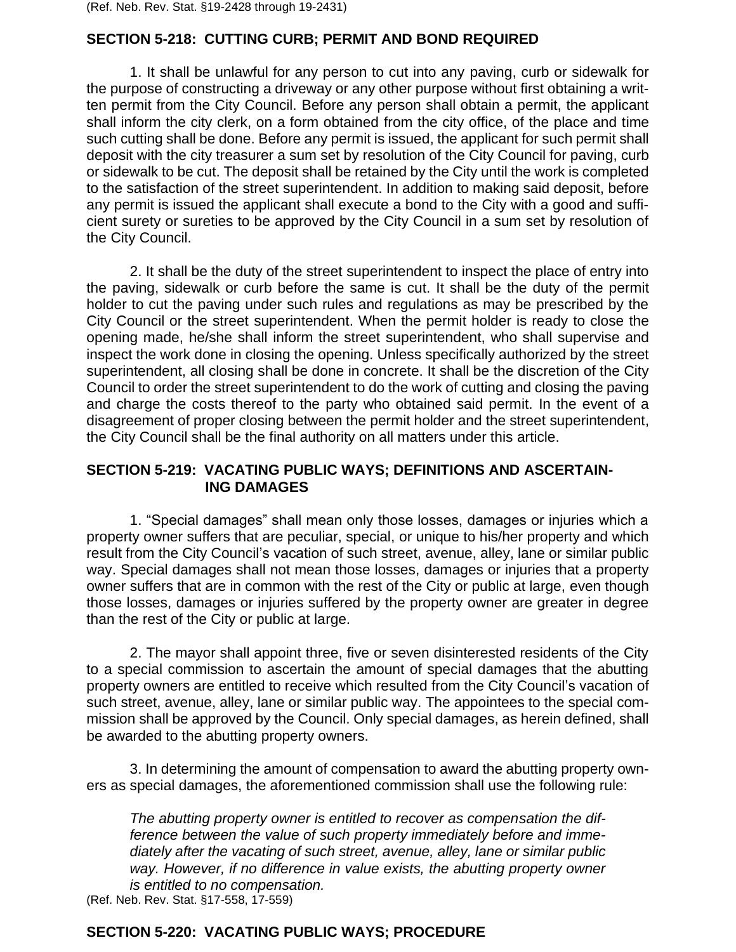#### **SECTION 5-218: CUTTING CURB; PERMIT AND BOND REQUIRED**

1. It shall be unlawful for any person to cut into any paving, curb or sidewalk for the purpose of constructing a driveway or any other purpose without first obtaining a written permit from the City Council. Before any person shall obtain a permit, the applicant shall inform the city clerk, on a form obtained from the city office, of the place and time such cutting shall be done. Before any permit is issued, the applicant for such permit shall deposit with the city treasurer a sum set by resolution of the City Council for paving, curb or sidewalk to be cut. The deposit shall be retained by the City until the work is completed to the satisfaction of the street superintendent. In addition to making said deposit, before any permit is issued the applicant shall execute a bond to the City with a good and sufficient surety or sureties to be approved by the City Council in a sum set by resolution of the City Council.

2. It shall be the duty of the street superintendent to inspect the place of entry into the paving, sidewalk or curb before the same is cut. It shall be the duty of the permit holder to cut the paving under such rules and regulations as may be prescribed by the City Council or the street superintendent. When the permit holder is ready to close the opening made, he/she shall inform the street superintendent, who shall supervise and inspect the work done in closing the opening. Unless specifically authorized by the street superintendent, all closing shall be done in concrete. It shall be the discretion of the City Council to order the street superintendent to do the work of cutting and closing the paving and charge the costs thereof to the party who obtained said permit. In the event of a disagreement of proper closing between the permit holder and the street superintendent, the City Council shall be the final authority on all matters under this article.

#### **SECTION 5-219: VACATING PUBLIC WAYS; DEFINITIONS AND ASCERTAIN- ING DAMAGES**

1. "Special damages" shall mean only those losses, damages or injuries which a property owner suffers that are peculiar, special, or unique to his/her property and which result from the City Council's vacation of such street, avenue, alley, lane or similar public way. Special damages shall not mean those losses, damages or injuries that a property owner suffers that are in common with the rest of the City or public at large, even though those losses, damages or injuries suffered by the property owner are greater in degree than the rest of the City or public at large.

2. The mayor shall appoint three, five or seven disinterested residents of the City to a special commission to ascertain the amount of special damages that the abutting property owners are entitled to receive which resulted from the City Council's vacation of such street, avenue, alley, lane or similar public way. The appointees to the special commission shall be approved by the Council. Only special damages, as herein defined, shall be awarded to the abutting property owners.

3. In determining the amount of compensation to award the abutting property owners as special damages, the aforementioned commission shall use the following rule:

*The abutting property owner is entitled to recover as compensation the difference between the value of such property immediately before and immediately after the vacating of such street, avenue, alley, lane or similar public way. However, if no difference in value exists, the abutting property owner is entitled to no compensation.* 

(Ref. Neb. Rev. Stat. §17-558, 17-559)

#### **SECTION 5-220: VACATING PUBLIC WAYS; PROCEDURE**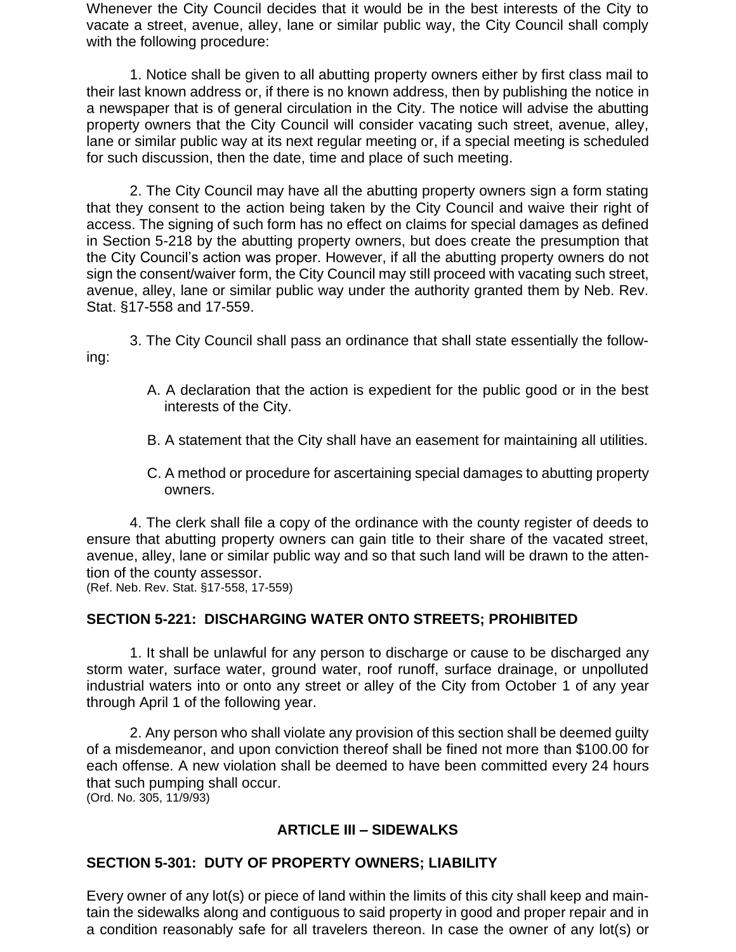Whenever the City Council decides that it would be in the best interests of the City to vacate a street, avenue, alley, lane or similar public way, the City Council shall comply with the following procedure:

1. Notice shall be given to all abutting property owners either by first class mail to their last known address or, if there is no known address, then by publishing the notice in a newspaper that is of general circulation in the City. The notice will advise the abutting property owners that the City Council will consider vacating such street, avenue, alley, lane or similar public way at its next regular meeting or, if a special meeting is scheduled for such discussion, then the date, time and place of such meeting.

2. The City Council may have all the abutting property owners sign a form stating that they consent to the action being taken by the City Council and waive their right of access. The signing of such form has no effect on claims for special damages as defined in Section 5-218 by the abutting property owners, but does create the presumption that the City Council's action was proper. However, if all the abutting property owners do not sign the consent/waiver form, the City Council may still proceed with vacating such street, avenue, alley, lane or similar public way under the authority granted them by Neb. Rev. Stat. §17-558 and 17-559.

3. The City Council shall pass an ordinance that shall state essentially the following:

- A. A declaration that the action is expedient for the public good or in the best interests of the City.
- B. A statement that the City shall have an easement for maintaining all utilities.
- C. A method or procedure for ascertaining special damages to abutting property owners.

4. The clerk shall file a copy of the ordinance with the county register of deeds to ensure that abutting property owners can gain title to their share of the vacated street, avenue, alley, lane or similar public way and so that such land will be drawn to the attention of the county assessor.

(Ref. Neb. Rev. Stat. §17-558, 17-559)

## **SECTION 5-221: DISCHARGING WATER ONTO STREETS; PROHIBITED**

1. It shall be unlawful for any person to discharge or cause to be discharged any storm water, surface water, ground water, roof runoff, surface drainage, or unpolluted industrial waters into or onto any street or alley of the City from October 1 of any year through April 1 of the following year.

2. Any person who shall violate any provision of this section shall be deemed guilty of a misdemeanor, and upon conviction thereof shall be fined not more than \$100.00 for each offense. A new violation shall be deemed to have been committed every 24 hours that such pumping shall occur.

(Ord. No. 305, 11/9/93)

## **ARTICLE III – SIDEWALKS**

## **SECTION 5-301: DUTY OF PROPERTY OWNERS; LIABILITY**

Every owner of any lot(s) or piece of land within the limits of this city shall keep and maintain the sidewalks along and contiguous to said property in good and proper repair and in a condition reasonably safe for all travelers thereon. In case the owner of any lot(s) or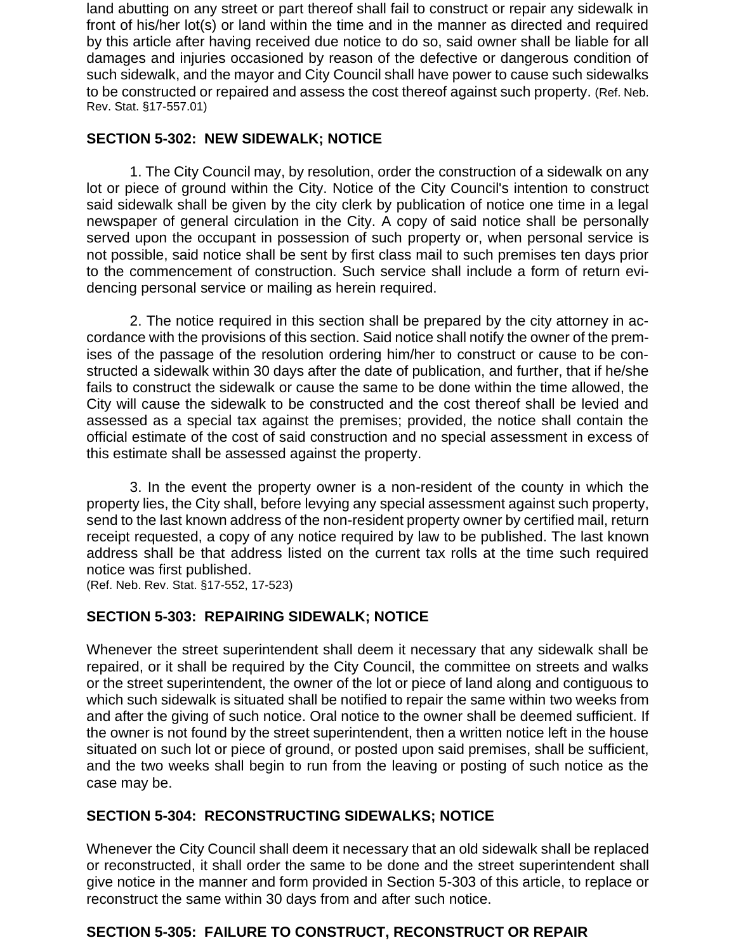land abutting on any street or part thereof shall fail to construct or repair any sidewalk in front of his/her lot(s) or land within the time and in the manner as directed and required by this article after having received due notice to do so, said owner shall be liable for all damages and injuries occasioned by reason of the defective or dangerous condition of such sidewalk, and the mayor and City Council shall have power to cause such sidewalks to be constructed or repaired and assess the cost thereof against such property. (Ref. Neb. Rev. Stat. §17-557.01)

#### **SECTION 5-302: NEW SIDEWALK; NOTICE**

1. The City Council may, by resolution, order the construction of a sidewalk on any lot or piece of ground within the City. Notice of the City Council's intention to construct said sidewalk shall be given by the city clerk by publication of notice one time in a legal newspaper of general circulation in the City. A copy of said notice shall be personally served upon the occupant in possession of such property or, when personal service is not possible, said notice shall be sent by first class mail to such premises ten days prior to the commencement of construction. Such service shall include a form of return evidencing personal service or mailing as herein required.

2. The notice required in this section shall be prepared by the city attorney in accordance with the provisions of this section. Said notice shall notify the owner of the premises of the passage of the resolution ordering him/her to construct or cause to be constructed a sidewalk within 30 days after the date of publication, and further, that if he/she fails to construct the sidewalk or cause the same to be done within the time allowed, the City will cause the sidewalk to be constructed and the cost thereof shall be levied and assessed as a special tax against the premises; provided, the notice shall contain the official estimate of the cost of said construction and no special assessment in excess of this estimate shall be assessed against the property.

3. In the event the property owner is a non-resident of the county in which the property lies, the City shall, before levying any special assessment against such property, send to the last known address of the non-resident property owner by certified mail, return receipt requested, a copy of any notice required by law to be published. The last known address shall be that address listed on the current tax rolls at the time such required notice was first published.

(Ref. Neb. Rev. Stat. §17-552, 17-523)

### **SECTION 5-303: REPAIRING SIDEWALK; NOTICE**

Whenever the street superintendent shall deem it necessary that any sidewalk shall be repaired, or it shall be required by the City Council, the committee on streets and walks or the street superintendent, the owner of the lot or piece of land along and contiguous to which such sidewalk is situated shall be notified to repair the same within two weeks from and after the giving of such notice. Oral notice to the owner shall be deemed sufficient. If the owner is not found by the street superintendent, then a written notice left in the house situated on such lot or piece of ground, or posted upon said premises, shall be sufficient, and the two weeks shall begin to run from the leaving or posting of such notice as the case may be.

#### **SECTION 5-304: RECONSTRUCTING SIDEWALKS; NOTICE**

Whenever the City Council shall deem it necessary that an old sidewalk shall be replaced or reconstructed, it shall order the same to be done and the street superintendent shall give notice in the manner and form provided in Section 5-303 of this article, to replace or reconstruct the same within 30 days from and after such notice.

#### **SECTION 5-305: FAILURE TO CONSTRUCT, RECONSTRUCT OR REPAIR**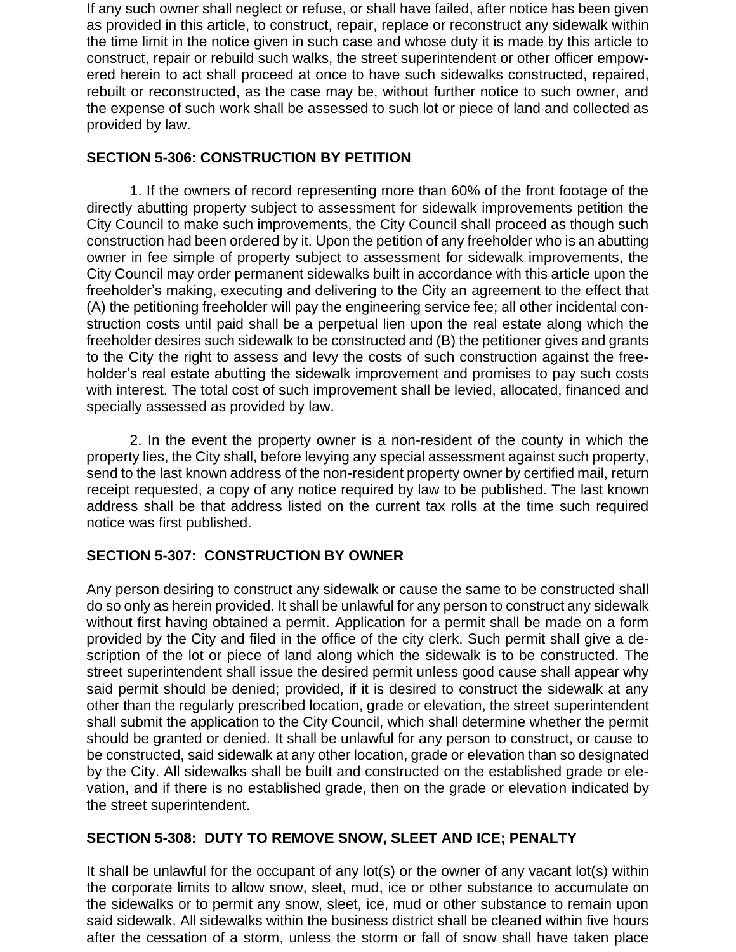If any such owner shall neglect or refuse, or shall have failed, after notice has been given as provided in this article, to construct, repair, replace or reconstruct any sidewalk within the time limit in the notice given in such case and whose duty it is made by this article to construct, repair or rebuild such walks, the street superintendent or other officer empowered herein to act shall proceed at once to have such sidewalks constructed, repaired, rebuilt or reconstructed, as the case may be, without further notice to such owner, and the expense of such work shall be assessed to such lot or piece of land and collected as provided by law.

### **SECTION 5-306: CONSTRUCTION BY PETITION**

1. If the owners of record representing more than 60% of the front footage of the directly abutting property subject to assessment for sidewalk improvements petition the City Council to make such improvements, the City Council shall proceed as though such construction had been ordered by it. Upon the petition of any freeholder who is an abutting owner in fee simple of property subject to assessment for sidewalk improvements, the City Council may order permanent sidewalks built in accordance with this article upon the freeholder's making, executing and delivering to the City an agreement to the effect that (A) the petitioning freeholder will pay the engineering service fee; all other incidental construction costs until paid shall be a perpetual lien upon the real estate along which the freeholder desires such sidewalk to be constructed and (B) the petitioner gives and grants to the City the right to assess and levy the costs of such construction against the freeholder's real estate abutting the sidewalk improvement and promises to pay such costs with interest. The total cost of such improvement shall be levied, allocated, financed and specially assessed as provided by law.

2. In the event the property owner is a non-resident of the county in which the property lies, the City shall, before levying any special assessment against such property, send to the last known address of the non-resident property owner by certified mail, return receipt requested, a copy of any notice required by law to be published. The last known address shall be that address listed on the current tax rolls at the time such required notice was first published.

## **SECTION 5-307: CONSTRUCTION BY OWNER**

Any person desiring to construct any sidewalk or cause the same to be constructed shall do so only as herein provided. It shall be unlawful for any person to construct any sidewalk without first having obtained a permit. Application for a permit shall be made on a form provided by the City and filed in the office of the city clerk. Such permit shall give a description of the lot or piece of land along which the sidewalk is to be constructed. The street superintendent shall issue the desired permit unless good cause shall appear why said permit should be denied; provided, if it is desired to construct the sidewalk at any other than the regularly prescribed location, grade or elevation, the street superintendent shall submit the application to the City Council, which shall determine whether the permit should be granted or denied. It shall be unlawful for any person to construct, or cause to be constructed, said sidewalk at any other location, grade or elevation than so designated by the City. All sidewalks shall be built and constructed on the established grade or elevation, and if there is no established grade, then on the grade or elevation indicated by the street superintendent.

## **SECTION 5-308: DUTY TO REMOVE SNOW, SLEET AND ICE; PENALTY**

It shall be unlawful for the occupant of any lot(s) or the owner of any vacant lot(s) within the corporate limits to allow snow, sleet, mud, ice or other substance to accumulate on the sidewalks or to permit any snow, sleet, ice, mud or other substance to remain upon said sidewalk. All sidewalks within the business district shall be cleaned within five hours after the cessation of a storm, unless the storm or fall of snow shall have taken place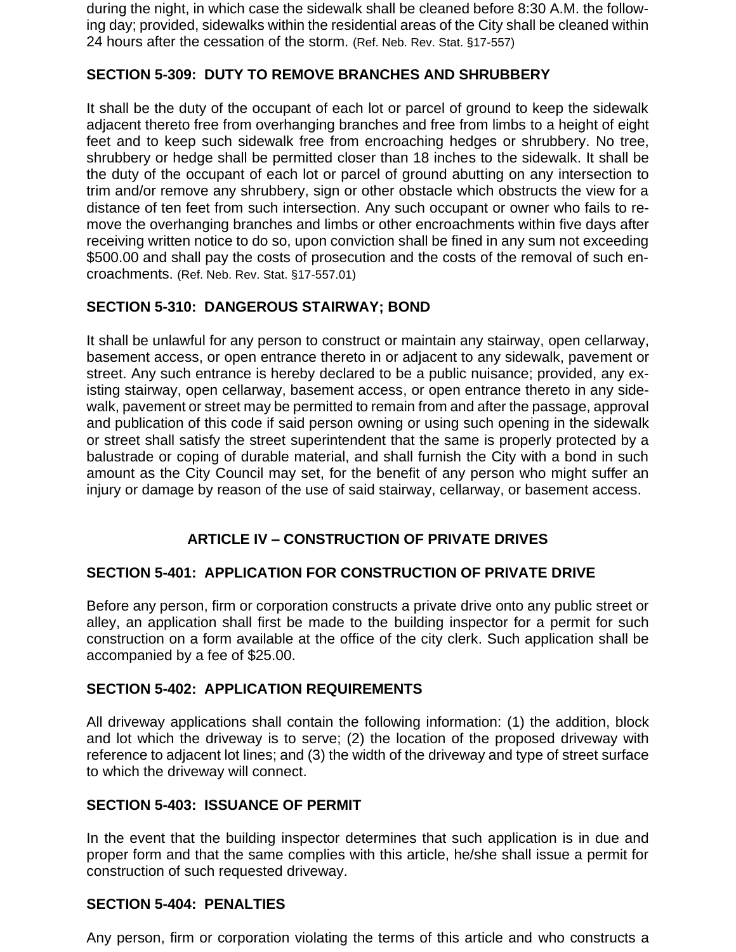during the night, in which case the sidewalk shall be cleaned before 8:30 A.M. the following day; provided, sidewalks within the residential areas of the City shall be cleaned within 24 hours after the cessation of the storm. (Ref. Neb. Rev. Stat. §17-557)

### **SECTION 5-309: DUTY TO REMOVE BRANCHES AND SHRUBBERY**

It shall be the duty of the occupant of each lot or parcel of ground to keep the sidewalk adjacent thereto free from overhanging branches and free from limbs to a height of eight feet and to keep such sidewalk free from encroaching hedges or shrubbery. No tree, shrubbery or hedge shall be permitted closer than 18 inches to the sidewalk. It shall be the duty of the occupant of each lot or parcel of ground abutting on any intersection to trim and/or remove any shrubbery, sign or other obstacle which obstructs the view for a distance of ten feet from such intersection. Any such occupant or owner who fails to remove the overhanging branches and limbs or other encroachments within five days after receiving written notice to do so, upon conviction shall be fined in any sum not exceeding \$500.00 and shall pay the costs of prosecution and the costs of the removal of such encroachments. (Ref. Neb. Rev. Stat. §17-557.01)

### **SECTION 5-310: DANGEROUS STAIRWAY; BOND**

It shall be unlawful for any person to construct or maintain any stairway, open cellarway, basement access, or open entrance thereto in or adjacent to any sidewalk, pavement or street. Any such entrance is hereby declared to be a public nuisance; provided, any existing stairway, open cellarway, basement access, or open entrance thereto in any sidewalk, pavement or street may be permitted to remain from and after the passage, approval and publication of this code if said person owning or using such opening in the sidewalk or street shall satisfy the street superintendent that the same is properly protected by a balustrade or coping of durable material, and shall furnish the City with a bond in such amount as the City Council may set, for the benefit of any person who might suffer an injury or damage by reason of the use of said stairway, cellarway, or basement access.

## **ARTICLE IV – CONSTRUCTION OF PRIVATE DRIVES**

#### **SECTION 5-401: APPLICATION FOR CONSTRUCTION OF PRIVATE DRIVE**

Before any person, firm or corporation constructs a private drive onto any public street or alley, an application shall first be made to the building inspector for a permit for such construction on a form available at the office of the city clerk. Such application shall be accompanied by a fee of \$25.00.

#### **SECTION 5-402: APPLICATION REQUIREMENTS**

All driveway applications shall contain the following information: (1) the addition, block and lot which the driveway is to serve; (2) the location of the proposed driveway with reference to adjacent lot lines; and (3) the width of the driveway and type of street surface to which the driveway will connect.

#### **SECTION 5-403: ISSUANCE OF PERMIT**

In the event that the building inspector determines that such application is in due and proper form and that the same complies with this article, he/she shall issue a permit for construction of such requested driveway.

#### **SECTION 5-404: PENALTIES**

Any person, firm or corporation violating the terms of this article and who constructs a